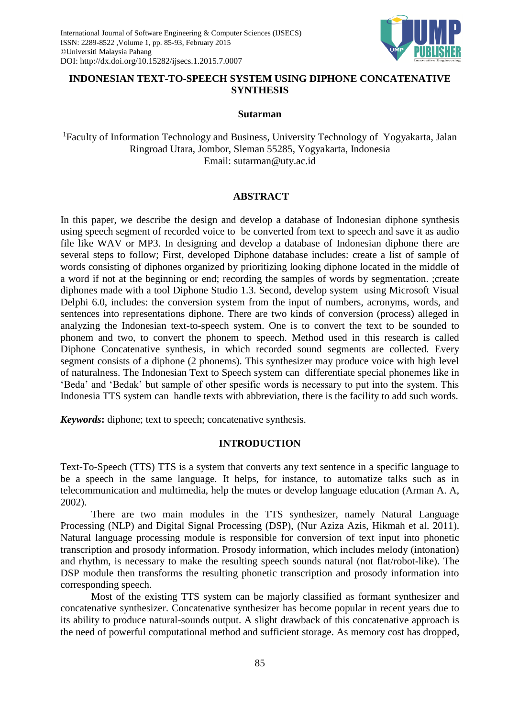

# **INDONESIAN TEXT-TO-SPEECH SYSTEM USING DIPHONE CONCATENATIVE SYNTHESIS**

#### **Sutarman**

<sup>1</sup>Faculty of Information Technology and Business, University Technology of Yogyakarta, Jalan Ringroad Utara, Jombor, Sleman 55285, Yogyakarta, Indonesia Email: [sutarman@uty.ac.id](mailto:sutarman@uty.ac.id)

## **ABSTRACT**

In this paper, we describe the design and develop a database of Indonesian diphone synthesis using speech segment of recorded voice to be converted from text to speech and save it as audio file like WAV or MP3. In designing and develop a database of Indonesian diphone there are several steps to follow; First, developed Diphone database includes: create a list of sample of words consisting of diphones organized by prioritizing looking diphone located in the middle of a word if not at the beginning or end; recording the samples of words by segmentation. ;create diphones made with a tool Diphone Studio 1.3. Second, develop system using Microsoft Visual Delphi 6.0, includes: the conversion system from the input of numbers, acronyms, words, and sentences into representations diphone. There are two kinds of conversion (process) alleged in analyzing the Indonesian text-to-speech system. One is to convert the text to be sounded to phonem and two, to convert the phonem to speech. Method used in this research is called Diphone Concatenative synthesis, in which recorded sound segments are collected. Every segment consists of a diphone (2 phonems). This synthesizer may produce voice with high level of naturalness. The Indonesian Text to Speech system can differentiate special phonemes like in 'Beda' and 'Bedak' but sample of other spesific words is necessary to put into the system. This Indonesia TTS system can handle texts with abbreviation, there is the facility to add such words.

*Keywords***:** diphone; text to speech; concatenative synthesis.

## **INTRODUCTION**

Text-To-Speech (TTS) TTS is a system that converts any text sentence in a specific language to be a speech in the same language. It helps, for instance, to automatize talks such as in telecommunication and multimedia, help the mutes or develop language education [\(Arman](#page-7-0) A. A, [2002\)](#page-7-0).

There are two main modules in the TTS synthesizer, namely Natural Language Processing (NLP) and Digital Signal Processing (DSP), [\(Nur Aziza Azis, Hikmah et al. 2011\)](#page-8-0). Natural language processing module is responsible for conversion of text input into phonetic transcription and prosody information. Prosody information, which includes melody (intonation) and rhythm, is necessary to make the resulting speech sounds natural (not flat/robot-like). The DSP module then transforms the resulting phonetic transcription and prosody information into corresponding speech.

Most of the existing TTS system can be majorly classified as formant synthesizer and concatenative synthesizer. Concatenative synthesizer has become popular in recent years due to its ability to produce natural-sounds output. A slight drawback of this concatenative approach is the need of powerful computational method and sufficient storage. As memory cost has dropped,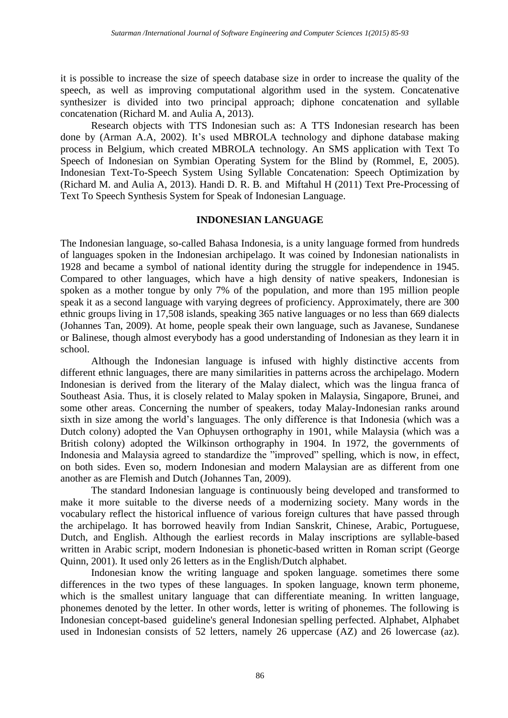it is possible to increase the size of speech database size in order to increase the quality of the speech, as well as improving computational algorithm used in the system. Concatenative synthesizer is divided into two principal approach; diphone concatenation and syllable concatenation (Richard M. and Aulia A, 2013).

Research objects with TTS Indonesian such as: A TTS Indonesian research has been done by (Arman A.A, 2002). It's used MBROLA technology and diphone database making process in Belgium, which created MBROLA technology. An SMS application with Text To Speech of Indonesian on Symbian Operating System for the Blind by (Rommel, E, 2005). Indonesian Text-To-Speech System Using Syllable Concatenation: Speech Optimization by (Richard M. and Aulia A, 2013). Handi D. R. B. and Miftahul H (2011) Text Pre-Processing of Text To Speech Synthesis System for Speak of Indonesian Language.

## **INDONESIAN LANGUAGE**

The Indonesian language, so-called Bahasa Indonesia, is a unity language formed from hundreds of languages spoken in the Indonesian archipelago. It was coined by Indonesian nationalists in 1928 and became a symbol of national identity during the struggle for independence in 1945. Compared to other languages, which have a high density of native speakers, Indonesian is spoken as a mother tongue by only 7% of the population, and more than 195 million people speak it as a second language with varying degrees of proficiency. Approximately, there are 300 ethnic groups living in 17,508 islands, speaking 365 native languages or no less than 669 dialects (Johannes Tan, 2009). At home, people speak their own language, such as Javanese, Sundanese or Balinese, though almost everybody has a good understanding of Indonesian as they learn it in school.

Although the Indonesian language is infused with highly distinctive accents from different ethnic languages, there are many similarities in patterns across the archipelago. Modern Indonesian is derived from the literary of the Malay dialect, which was the lingua franca of Southeast Asia. Thus, it is closely related to Malay spoken in Malaysia, Singapore, Brunei, and some other areas. Concerning the number of speakers, today Malay-Indonesian ranks around sixth in size among the world's languages. The only difference is that Indonesia (which was a Dutch colony) adopted the Van Ophuysen orthography in 1901, while Malaysia (which was a British colony) adopted the Wilkinson orthography in 1904. In 1972, the governments of Indonesia and Malaysia agreed to standardize the "improved" spelling, which is now, in effect, on both sides. Even so, modern Indonesian and modern Malaysian are as different from one another as are Flemish and Dutch (Johannes Tan, 2009).

The standard Indonesian language is continuously being developed and transformed to make it more suitable to the diverse needs of a modernizing society. Many words in the vocabulary reflect the historical influence of various foreign cultures that have passed through the archipelago. It has borrowed heavily from Indian Sanskrit, Chinese, Arabic, Portuguese, Dutch, and English. Although the earliest records in Malay inscriptions are syllable-based written in Arabic script, modern Indonesian is phonetic-based written in Roman script (George Quinn, 2001). It used only 26 letters as in the English/Dutch alphabet.

Indonesian know the writing language and spoken language. sometimes there some differences in the two types of these languages. In spoken language, known term phoneme, which is the smallest unitary language that can differentiate meaning. In written language, phonemes denoted by the letter. In other words, letter is writing of phonemes. The following is Indonesian concept-based guideline's general Indonesian spelling perfected. Alphabet, Alphabet used in Indonesian consists of 52 letters, namely 26 uppercase (AZ) and 26 lowercase (az).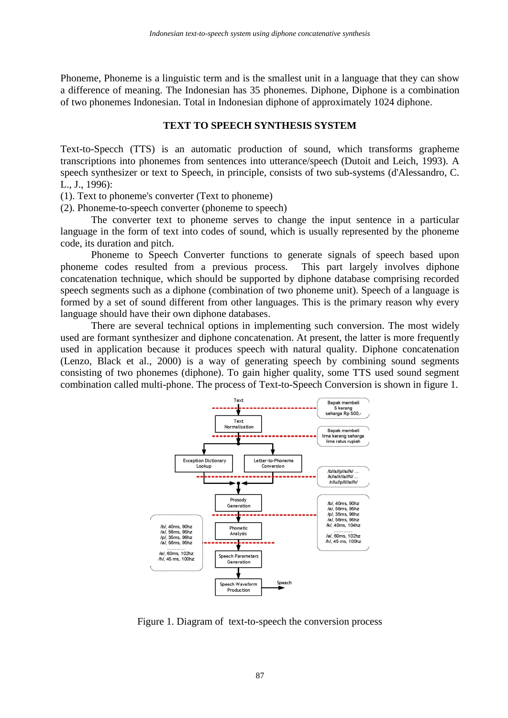Phoneme, Phoneme is a linguistic term and is the smallest unit in a language that they can show a difference of meaning. The Indonesian has 35 phonemes. Diphone, Diphone is a combination of two phonemes Indonesian. Total in Indonesian diphone of approximately 1024 diphone.

#### **TEXT TO SPEECH SYNTHESIS SYSTEM**

Text-to-Specch (TTS) is an automatic production of sound, which transforms grapheme transcriptions into phonemes from sentences into utterance/speech [\(Dutoit and Leich, 1993\)](#page-8-1). A speech synthesizer or text to Speech, in principle, consists of two sub-systems (d'Alessandro, C. L., J., 1996):

(1). Text to phoneme's converter (Text to phoneme)

(2). Phoneme-to-speech converter (phoneme to speech)

The converter text to phoneme serves to change the input sentence in a particular language in the form of text into codes of sound, which is usually represented by the phoneme code, its duration and pitch.

Phoneme to Speech Converter functions to generate signals of speech based upon phoneme codes resulted from a previous process. This part largely involves diphone concatenation technique, which should be supported by diphone database comprising recorded speech segments such as a diphone (combination of two phoneme unit). Speech of a language is formed by a set of sound different from other languages. This is the primary reason why every language should have their own diphone databases.

There are several technical options in implementing such conversion. The most widely used are formant synthesizer and diphone concatenation. At present, the latter is more frequently used in application because it produces speech with natural quality. Diphone concatenation [\(Lenzo, Black et al.,](#page-8-2) 2000) is a way of generating speech by combining sound segments consisting of two phonemes (diphone). To gain higher quality, some TTS used sound segment combination called multi-phone. The process of Text-to-Speech Conversion is shown in figure 1.



Figure 1. Diagram of text-to-speech the conversion process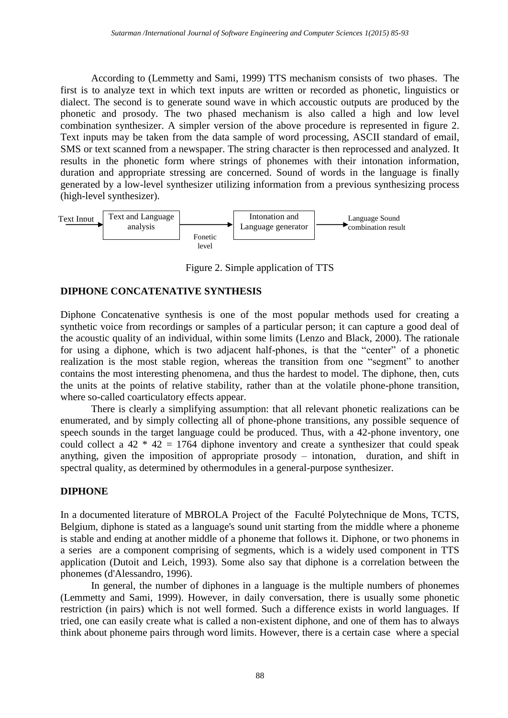According to [\(Lemmetty and Sami, 1999\)](#page-8-3) TTS mechanism consists of two phases. The first is to analyze text in which text inputs are written or recorded as phonetic, linguistics or dialect. The second is to generate sound wave in which accoustic outputs are produced by the phonetic and prosody. The two phased mechanism is also called a high and low level combination synthesizer. A simpler version of the above procedure is represented in figure 2. Text inputs may be taken from the data sample of word processing, ASCII standard of email, SMS or text scanned from a newspaper. The string character is then reprocessed and analyzed. It results in the phonetic form where strings of phonemes with their intonation information, duration and appropriate stressing are concerned. Sound of words in the language is finally generated by a low-level synthesizer utilizing information from a previous synthesizing process (high-level synthesizer).



Figure 2. Simple application of TTS

## **DIPHONE CONCATENATIVE SYNTHESIS**

Diphone Concatenative synthesis is one of the most popular methods used for creating a synthetic voice from recordings or samples of a particular person; it can capture a good deal of the acoustic quality of an individual, within some limits [\(Lenzo and Black,](#page-8-4) 2000). The rationale for using a diphone, which is two adjacent half-phones, is that the "center" of a phonetic realization is the most stable region, whereas the transition from one "segment" to another contains the most interesting phenomena, and thus the hardest to model. The diphone, then, cuts the units at the points of relative stability, rather than at the volatile phone-phone transition, where so-called coarticulatory effects appear.

There is clearly a simplifying assumption: that all relevant phonetic realizations can be enumerated, and by simply collecting all of phone-phone transitions, any possible sequence of speech sounds in the target language could be produced. Thus, with a 42-phone inventory, one could collect a  $42 * 42 = 1764$  diphone inventory and create a synthesizer that could speak anything, given the imposition of appropriate prosody – intonation, duration, and shift in spectral quality, as determined by othermodules in a general-purpose synthesizer.

## **DIPHONE**

In a documented literature of MBROLA Project of the Faculté Polytechnique de Mons, TCTS, Belgium, diphone is stated as a language's sound unit starting from the middle where a phoneme is stable and ending at another middle of a phoneme that follows it. Diphone, or two phonems in a series are a component comprising of segments, which is a widely used component in TTS application [\(Dutoit and Leich,](#page-8-1) 1993). Some also say that diphone is a correlation between the phonemes [\(d'Alessandro,](#page-8-5) 1996).

In general, the number of diphones in a language is the multiple numbers of phonemes [\(Lemmetty and Sami,](#page-8-3) 1999). However, in daily conversation, there is usually some phonetic restriction (in pairs) which is not well formed. Such a difference exists in world languages. If tried, one can easily create what is called a non-existent diphone, and one of them has to always think about phoneme pairs through word limits. However, there is a certain case where a special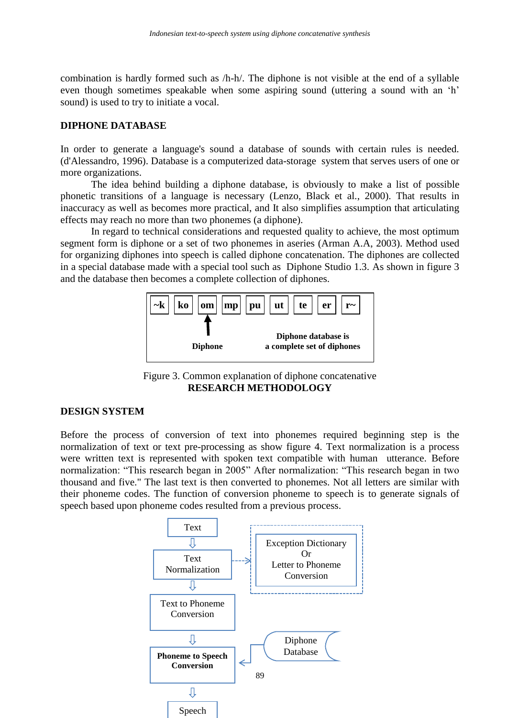combination is hardly formed such as /h-h/. The diphone is not visible at the end of a syllable even though sometimes speakable when some aspiring sound (uttering a sound with an 'h' sound) is used to try to initiate a vocal.

#### **DIPHONE DATABASE**

In order to generate a language's sound a database of sounds with certain rules is needed. [\(d'Alessandro, 1996\)](#page-8-5). Database is a computerized data-storage system that serves users of one or more organizations.

The idea behind building a diphone database, is obviously to make a list of possible phonetic transitions of a language is necessary [\(Lenzo, Black et al.,](#page-8-2) 2000). That results in inaccuracy as well as becomes more practical, and It also simplifies assumption that articulating effects may reach no more than two phonemes (a diphone).

In regard to technical considerations and requested quality to achieve, the most optimum segment form is diphone or a set of two phonemes in aseries [\(Arman](#page-7-1) A.A, 2003). Method used for organizing diphones into speech is called diphone concatenation. The diphones are collected in a special database made with a special tool such as Diphone Studio 1.3. As shown in figure 3 and the database then becomes a complete collection of diphones.



Figure 3. Common explanation of diphone concatenative **RESEARCH METHODOLOGY**

#### **DESIGN SYSTEM**

Before the process of conversion of text into phonemes required beginning step is the normalization of text or text pre-processing as show figure 4. Text normalization is a process were written text is represented with spoken text compatible with human utterance. Before normalization: "This research began in 2005" After normalization: "This research began in two thousand and five." The last text is then converted to phonemes. Not all letters are similar with their phoneme codes. The function of conversion phoneme to speech is to generate signals of speech based upon phoneme codes resulted from a previous process.

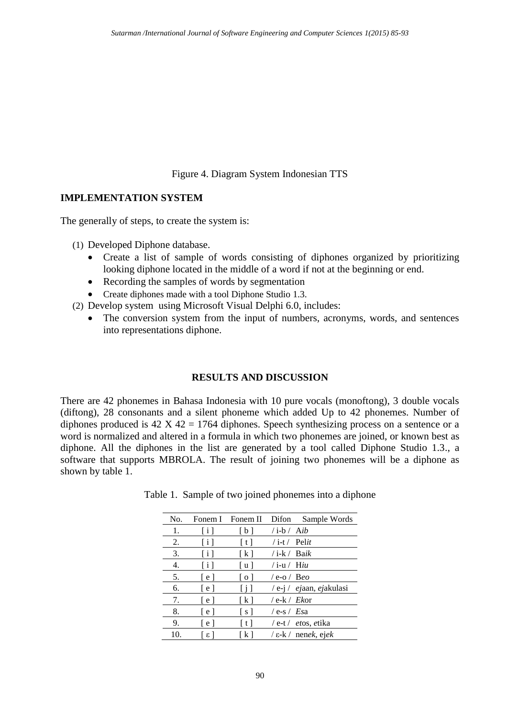Figure 4. Diagram System Indonesian TTS

## **IMPLEMENTATION SYSTEM**

The generally of steps, to create the system is:

(1) Developed Diphone database.

- Create a list of sample of words consisting of diphones organized by prioritizing looking diphone located in the middle of a word if not at the beginning or end.
- Recording the samples of words by segmentation
- Create diphones made with a tool Diphone Studio 1.3.
- (2) Develop system using Microsoft Visual Delphi 6.0, includes:
	- The conversion system from the input of numbers, acronyms, words, and sentences into representations diphone.

# **RESULTS AND DISCUSSION**

There are 42 phonemes in Bahasa Indonesia with 10 pure vocals (monoftong), 3 double vocals (diftong), 28 consonants and a silent phoneme which added Up to 42 phonemes. Number of diphones produced is  $42 \text{ X } 42 = 1764$  diphones. Speech synthesizing process on a sentence or a word is normalized and altered in a formula in which two phonemes are joined, or known best as diphone. All the diphones in the list are generated by a tool called Diphone Studio 1.3., a software that supports MBROLA. The result of joining two phonemes will be a diphone as shown by table 1.

| Table 1. Sample of two joined phonemes into a diphone |  |  |
|-------------------------------------------------------|--|--|
|                                                       |  |  |

| No. |                       | Fonem I Fonem II  |                       | Difon Sample Words                |
|-----|-----------------------|-------------------|-----------------------|-----------------------------------|
| 1.  | $\lceil i \rceil$     | $\lceil b \rceil$ | $\int$ i-b $\int$ Aib |                                   |
| 2.  | $\lfloor i \rfloor$   | [t]               | $/$ i-t $/$ Pelit     |                                   |
| 3.  | $\lceil i \rceil$     | $\lceil k \rceil$ | $/$ i-k $/$ Baik      |                                   |
| 4.  | $\lceil i \rceil$     | [u]               | $/$ i-u $/$ Hiu       |                                   |
| 5.  | l e l                 | [0]               | $/$ e-o $/$ Beo       |                                   |
| 6.  | $\lceil e \rceil$     | Π                 |                       | $/e$ -j / <i>ejaan, ejakulasi</i> |
| 7.  | l e l                 | $\lceil k \rceil$ | $/e$ -k $/Ek$ or      |                                   |
| 8.  | [e]                   | [s]               | $/ e$ -s $/ E$ sa     |                                   |
| 9.  | l e l                 | [t]               |                       | $/$ e-t $/$ <i>etos, etika</i>    |
| 10. | $\lfloor$ 8 $\rfloor$ | [k]               |                       | $\ell$ = k $\ell$ nenek, ejek     |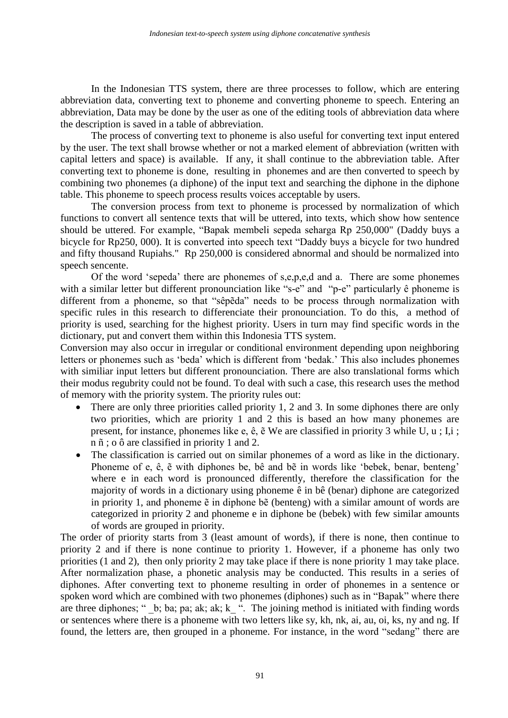In the Indonesian TTS system, there are three processes to follow, which are entering abbreviation data, converting text to phoneme and converting phoneme to speech. Entering an abbreviation, Data may be done by the user as one of the editing tools of abbreviation data where the description is saved in a table of abbreviation.

The process of converting text to phoneme is also useful for converting text input entered by the user. The text shall browse whether or not a marked element of abbreviation (written with capital letters and space) is available. If any, it shall continue to the abbreviation table. After converting text to phoneme is done, resulting in phonemes and are then converted to speech by combining two phonemes (a diphone) of the input text and searching the diphone in the diphone table. This phoneme to speech process results voices acceptable by users.

The conversion process from text to phoneme is processed by normalization of which functions to convert all sentence texts that will be uttered, into texts, which show how sentence should be uttered. For example, "Bapak membeli sepeda seharga Rp 250,000" (Daddy buys a bicycle for Rp250, 000). It is converted into speech text "Daddy buys a bicycle for two hundred and fifty thousand Rupiahs." Rp 250,000 is considered abnormal and should be normalized into speech sencente.

Of the word 'sepeda' there are phonemes of s,e,p,e,d and a. There are some phonemes with a similar letter but different pronounciation like "s-e" and "p-e" particularly  $\hat{e}$  phoneme is different from a phoneme, so that "sêpẽda" needs to be process through normalization with specific rules in this research to differenciate their pronounciation. To do this, a method of priority is used, searching for the highest priority. Users in turn may find specific words in the dictionary, put and convert them within this Indonesia TTS system.

Conversion may also occur in irregular or conditional environment depending upon neighboring letters or phonemes such as 'beda' which is different from 'bedak.' This also includes phonemes with similiar input letters but different pronounciation. There are also translational forms which their modus regubrity could not be found. To deal with such a case, this research uses the method of memory with the priority system. The priority rules out:

- There are only three priorities called priority 1, 2 and 3. In some diphones there are only two priorities, which are priority 1 and 2 this is based an how many phonemes are present, for instance, phonemes like e, ê, ẽ We are classified in priority 3 while U, u ; I,i ; n ñ ; o ô are classified in priority 1 and 2.
- The classification is carried out on similar phonemes of a word as like in the dictionary. Phoneme of e, ê, ẽ with diphones be, bê and bẽ in words like 'bebek, benar, benteng' where e in each word is pronounced differently, therefore the classification for the majority of words in a dictionary using phoneme ê in bê (benar) diphone are categorized in priority 1, and phoneme ẽ in diphone bẽ (benteng) with a similar amount of words are categorized in priority 2 and phoneme e in diphone be (bebek) with few similar amounts of words are grouped in priority.

The order of priority starts from 3 (least amount of words), if there is none, then continue to priority 2 and if there is none continue to priority 1. However, if a phoneme has only two priorities (1 and 2), then only priority 2 may take place if there is none priority 1 may take place. After normalization phase, a phonetic analysis may be conducted. This results in a series of diphones. After converting text to phoneme resulting in order of phonemes in a sentence or spoken word which are combined with two phonemes (diphones) such as in "Bapak" where there are three diphones; " $\Delta$ b; ba; pa; ak; ak; k $\Delta$ ". The joining method is initiated with finding words or sentences where there is a phoneme with two letters like sy, kh, nk, ai, au, oi, ks, ny and ng. If found, the letters are, then grouped in a phoneme. For instance, in the word "sedang" there are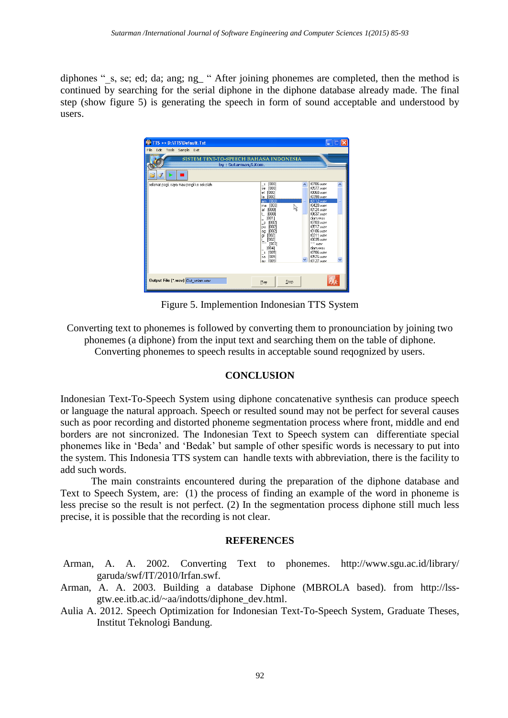diphones "s, se; ed; da; ang; ng\_ " After joining phonemes are completed, then the method is continued by searching for the serial diphone in the diphone database already made. The final step (show figure 5) is generating the speech in form of sound acceptable and understood by users.

| TTS >> D:\TTS\Default.Txt                                                                        |                                                                                                                                                                                                                                                                                                                                                                                                                                                                                                                                                                           |  |  |  |  |  |  |  |  |
|--------------------------------------------------------------------------------------------------|---------------------------------------------------------------------------------------------------------------------------------------------------------------------------------------------------------------------------------------------------------------------------------------------------------------------------------------------------------------------------------------------------------------------------------------------------------------------------------------------------------------------------------------------------------------------------|--|--|--|--|--|--|--|--|
| Edit Tools Sample Exit<br>File<br>SISTEM TEXT-TO-SPEECH BAHASA INDONESIA<br>by: Sutarman, S.Kom. |                                                                                                                                                                                                                                                                                                                                                                                                                                                                                                                                                                           |  |  |  |  |  |  |  |  |
| selamat pagi, saya mau pergi ke sekolah                                                          | t0706.wav<br>[000]<br>$\mathcal{S}$<br>t0577.wav<br>[000]<br>se<br>t0060.wav<br>[000]<br>el<br>t0398.wav<br>la.<br>[000]<br>t0112.wav<br>am [000]<br>t0428.wav<br>[000]<br>ma<br>R<br>t0124 way<br>at [000]<br>IN637 way<br>[000]<br>ŧ.<br>[001]<br>diam.wav<br>t0703 way<br>[002]<br>$\mathsf{p}$<br>t0517.wav<br>[002]<br>Da<br>t0106.wav<br>[002]<br>ag<br><b>f0311 wav</b><br>[002]<br>اوا<br>پيا<br>t0035.wav<br>[002]<br>~~ wav<br>[003]<br>[004]<br>diam way<br>t0706.wav<br>[005]<br>$\mathcal{S}$<br><b>t0576 way</b><br>[005]<br>sa<br>t0127.wav<br>[005]<br>av |  |  |  |  |  |  |  |  |
| Output File [*.wav] Out_selam.wav                                                                | Stop<br>Play                                                                                                                                                                                                                                                                                                                                                                                                                                                                                                                                                              |  |  |  |  |  |  |  |  |

Figure 5. Implemention Indonesian TTS System

Converting text to phonemes is followed by converting them to pronounciation by joining two phonemes (a diphone) from the input text and searching them on the table of diphone. Converting phonemes to speech results in acceptable sound reqognized by users.

# **CONCLUSION**

Indonesian Text-To-Speech System using diphone concatenative synthesis can produce speech or language the natural approach. Speech or resulted sound may not be perfect for several causes such as poor recording and distorted phoneme segmentation process where front, middle and end borders are not sincronized. The Indonesian Text to Speech system can differentiate special phonemes like in 'Beda' and 'Bedak' but sample of other spesific words is necessary to put into the system. This Indonesia TTS system can handle texts with abbreviation, there is the facility to add such words.

The main constraints encountered during the preparation of the diphone database and Text to Speech System, are: (1) the process of finding an example of the word in phoneme is less precise so the result is not perfect. (2) In the segmentation process diphone still much less precise, it is possible that the recording is not clear.

## **REFERENCES**

- <span id="page-7-0"></span>Arman, A. A. 2002. Converting Text to phonemes. http://www.sgu.ac.id/library/ garuda/swf/IT/2010/Irfan.swf.
- <span id="page-7-1"></span>Arman, A. A. 2003. Building a database Diphone (MBROLA based). from [http://lss](http://lss-gtw.ee.itb.ac.id/~aa/indotts/diphone_dev.html)[gtw.ee.itb.ac.id/~aa/indotts/diphone\\_dev.html.](http://lss-gtw.ee.itb.ac.id/~aa/indotts/diphone_dev.html)
- Aulia A. 2012. Speech Optimization for Indonesian Text-To-Speech System, Graduate Theses, Institut Teknologi Bandung.